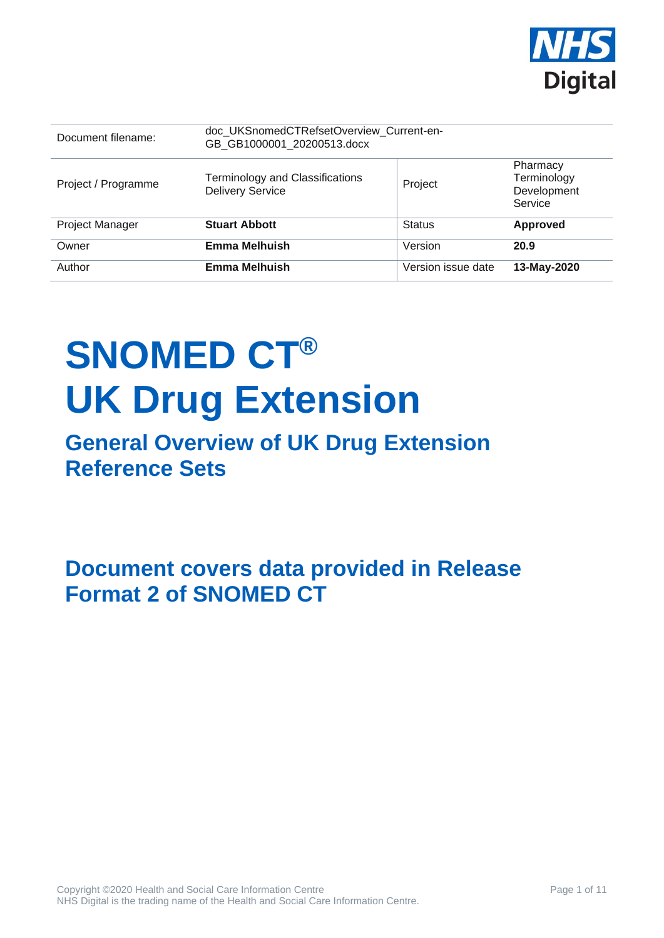

| Document filename:     | doc UKSnomedCTRefsetOverview Current-en-<br>GB GB1000001 20200513.docx |                    |                                                   |
|------------------------|------------------------------------------------------------------------|--------------------|---------------------------------------------------|
| Project / Programme    | Terminology and Classifications<br><b>Delivery Service</b>             | Project            | Pharmacy<br>Terminology<br>Development<br>Service |
| <b>Project Manager</b> | <b>Stuart Abbott</b>                                                   | <b>Status</b>      | <b>Approved</b>                                   |
| Owner                  | <b>Emma Melhuish</b>                                                   | Version            | 20.9                                              |
| Author                 | <b>Emma Melhuish</b>                                                   | Version issue date | 13-May-2020                                       |

# **SNOMED CT® UK Drug Extension**

# **General Overview of UK Drug Extension Reference Sets**

**Document covers data provided in Release Format 2 of SNOMED CT**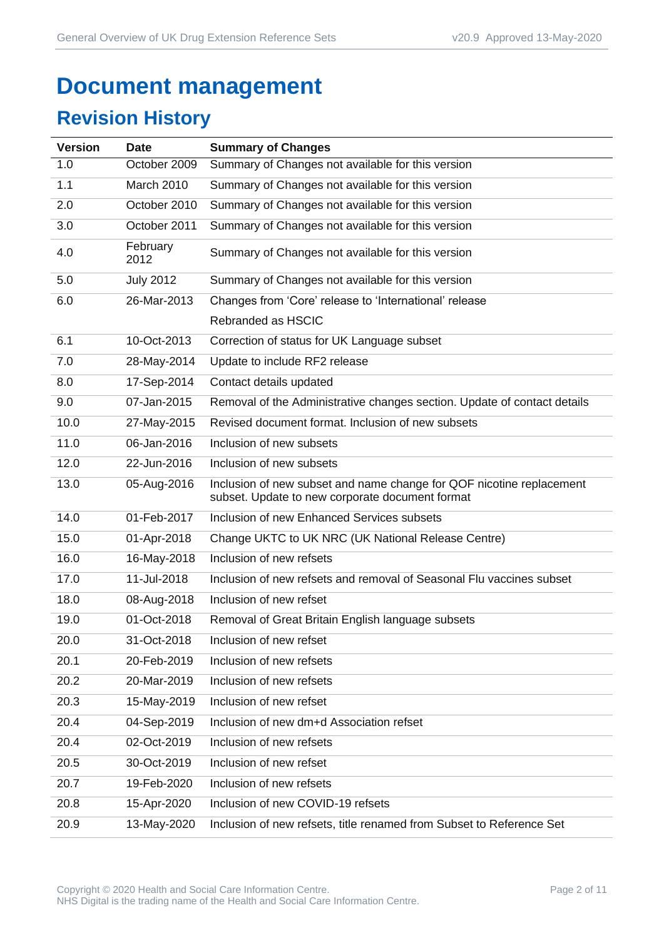# **Document management**

# **Revision History**

| <b>Version</b> | <b>Date</b>      | <b>Summary of Changes</b>                                                                                               |
|----------------|------------------|-------------------------------------------------------------------------------------------------------------------------|
| 1.0            | October 2009     | Summary of Changes not available for this version                                                                       |
| 1.1            | March 2010       | Summary of Changes not available for this version                                                                       |
| 2.0            | October 2010     | Summary of Changes not available for this version                                                                       |
| 3.0            | October 2011     | Summary of Changes not available for this version                                                                       |
| 4.0            | February<br>2012 | Summary of Changes not available for this version                                                                       |
| 5.0            | <b>July 2012</b> | Summary of Changes not available for this version                                                                       |
| 6.0            | 26-Mar-2013      | Changes from 'Core' release to 'International' release                                                                  |
|                |                  | Rebranded as HSCIC                                                                                                      |
| 6.1            | 10-Oct-2013      | Correction of status for UK Language subset                                                                             |
| 7.0            | 28-May-2014      | Update to include RF2 release                                                                                           |
| 8.0            | 17-Sep-2014      | Contact details updated                                                                                                 |
| 9.0            | 07-Jan-2015      | Removal of the Administrative changes section. Update of contact details                                                |
| 10.0           | 27-May-2015      | Revised document format. Inclusion of new subsets                                                                       |
| 11.0           | 06-Jan-2016      | Inclusion of new subsets                                                                                                |
| 12.0           | 22-Jun-2016      | Inclusion of new subsets                                                                                                |
| 13.0           | 05-Aug-2016      | Inclusion of new subset and name change for QOF nicotine replacement<br>subset. Update to new corporate document format |
| 14.0           | 01-Feb-2017      | Inclusion of new Enhanced Services subsets                                                                              |
| 15.0           | 01-Apr-2018      | Change UKTC to UK NRC (UK National Release Centre)                                                                      |
| 16.0           | 16-May-2018      | Inclusion of new refsets                                                                                                |
| 17.0           | 11-Jul-2018      | Inclusion of new refsets and removal of Seasonal Flu vaccines subset                                                    |
| 18.0           | 08-Aug-2018      | Inclusion of new refset                                                                                                 |
| 19.0           | 01-Oct-2018      | Removal of Great Britain English language subsets                                                                       |
| 20.0           | 31-Oct-2018      | Inclusion of new refset                                                                                                 |
| 20.1           | 20-Feb-2019      | Inclusion of new refsets                                                                                                |
| 20.2           | 20-Mar-2019      | Inclusion of new refsets                                                                                                |
| 20.3           | 15-May-2019      | Inclusion of new refset                                                                                                 |
| 20.4           | 04-Sep-2019      | Inclusion of new dm+d Association refset                                                                                |
| 20.4           | 02-Oct-2019      | Inclusion of new refsets                                                                                                |
| 20.5           | 30-Oct-2019      | Inclusion of new refset                                                                                                 |
| 20.7           | 19-Feb-2020      | Inclusion of new refsets                                                                                                |
| 20.8           | 15-Apr-2020      | Inclusion of new COVID-19 refsets                                                                                       |
| 20.9           | 13-May-2020      | Inclusion of new refsets, title renamed from Subset to Reference Set                                                    |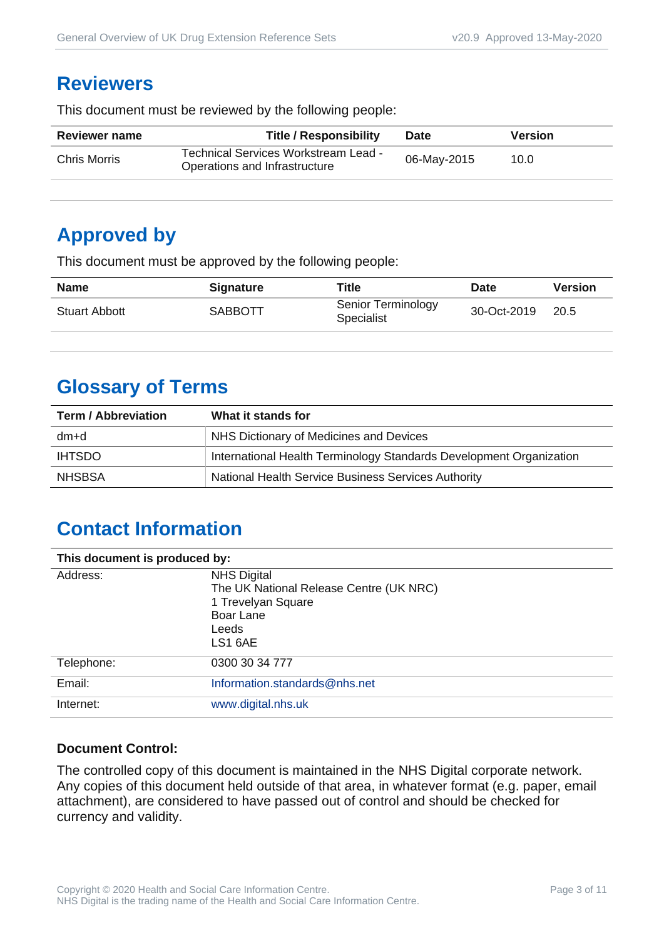#### **Reviewers**

This document must be reviewed by the following people:

| Technical Services Workstream Lead -<br>06-May-2015<br><b>Chris Morris</b><br>10.0<br>Operations and Infrastructure | <b>Reviewer name</b> | <b>Title / Responsibility</b> | <b>Date</b> | <b>Version</b> |
|---------------------------------------------------------------------------------------------------------------------|----------------------|-------------------------------|-------------|----------------|
|                                                                                                                     |                      |                               |             |                |

#### **Approved by**

This document must be approved by the following people:

| <b>Name</b>          | <b>Signature</b> | <b>Title</b>                            | <b>Date</b> | <b>Version</b> |
|----------------------|------------------|-----------------------------------------|-------------|----------------|
| <b>Stuart Abbott</b> | SABBOTT          | Senior Terminology<br><b>Specialist</b> | 30-Oct-2019 | 20.5           |

# **Glossary of Terms**

| <b>Term / Abbreviation</b> | What it stands for                                                  |  |
|----------------------------|---------------------------------------------------------------------|--|
| dm+d                       | NHS Dictionary of Medicines and Devices                             |  |
| <b>IHTSDO</b>              | International Health Terminology Standards Development Organization |  |
| <b>NHSBSA</b>              | National Health Service Business Services Authority                 |  |

# **Contact Information**

| This document is produced by: |                                                                                                                      |  |
|-------------------------------|----------------------------------------------------------------------------------------------------------------------|--|
| Address:                      | <b>NHS Digital</b><br>The UK National Release Centre (UK NRC)<br>1 Trevelyan Square<br>Boar Lane<br>Leeds<br>LS1 6AE |  |
| Telephone:                    | 0300 30 34 777                                                                                                       |  |
| Email:                        | Information.standards@nhs.net                                                                                        |  |
| Internet:                     | www.digital.nhs.uk                                                                                                   |  |

#### **Document Control:**

The controlled copy of this document is maintained in the NHS Digital corporate network. Any copies of this document held outside of that area, in whatever format (e.g. paper, email attachment), are considered to have passed out of control and should be checked for currency and validity.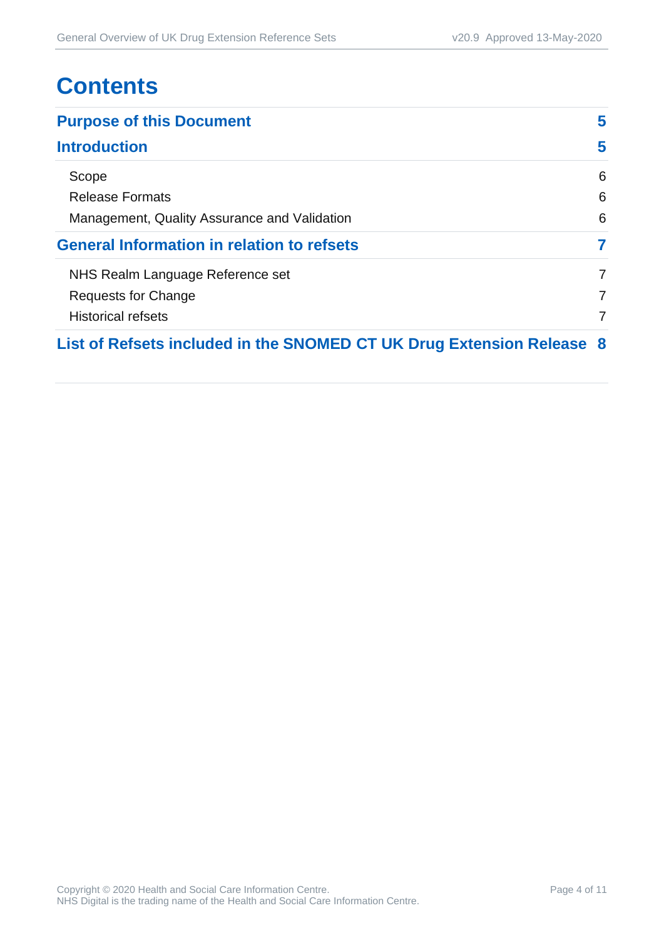# **Contents**

| <b>Purpose of this Document</b>                                       |   |
|-----------------------------------------------------------------------|---|
| <b>Introduction</b>                                                   | 5 |
| Scope                                                                 | 6 |
| <b>Release Formats</b>                                                | 6 |
| Management, Quality Assurance and Validation                          | 6 |
| <b>General Information in relation to refsets</b>                     | 7 |
| NHS Realm Language Reference set                                      | 7 |
| Requests for Change                                                   | 7 |
| <b>Historical refsets</b>                                             | 7 |
| List of Refsets included in the SNOMED CT UK Drug Extension Release 8 |   |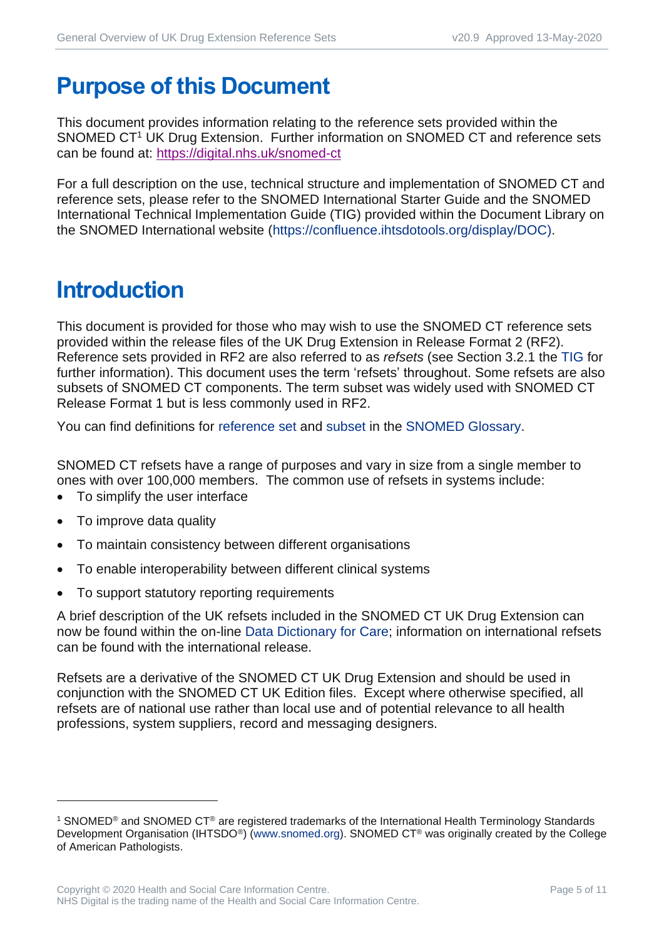# <span id="page-4-0"></span>**Purpose of this Document**

This document provides information relating to the reference sets provided within the SNOMED CT<sup>1</sup> UK Drug Extension. Further information on SNOMED CT and reference sets can be found at:<https://digital.nhs.uk/snomed-ct>

For a full description on the use, technical structure and implementation of SNOMED CT and reference sets, please refer to the SNOMED International Starter Guide and the SNOMED International Technical Implementation Guide (TIG) provided within the Document Library on the SNOMED International website [\(https://confluence.ihtsdotools.org/display/DOC\)](https://confluence.ihtsdotools.org/display/DOC).

# <span id="page-4-1"></span>**Introduction**

This document is provided for those who may wish to use the SNOMED CT reference sets provided within the release files of the UK Drug Extension in Release Format 2 (RF2). Reference sets provided in RF2 are also referred to as *refsets* (see Section 3.2.1 the [TIG](http://snomed.org/tig) for further information). This document uses the term 'refsets' throughout. Some refsets are also subsets of SNOMED CT components. The term subset was widely used with SNOMED CT Release Format 1 but is less commonly used in RF2.

You can find definitions for [reference set](https://confluence.ihtsdotools.org/display/DOCGLOSS/reference+set) and [subset](https://confluence.ihtsdotools.org/display/DOCGLOSS/subset) in the [SNOMED Glossary.](http://snomed.org/gl)

SNOMED CT refsets have a range of purposes and vary in size from a single member to ones with over 100,000 members. The common use of refsets in systems include:

- To simplify the user interface
- To improve data quality
- To maintain consistency between different organisations
- To enable interoperability between different clinical systems
- To support statutory reporting requirements

A brief description of the UK refsets included in the SNOMED CT UK Drug Extension can now be found within the on-line [Data Dictionary for Care;](https://dd4c.digital.nhs.uk/dd4c/) information on international refsets can be found with the international release.

Refsets are a derivative of the SNOMED CT UK Drug Extension and should be used in conjunction with the SNOMED CT UK Edition files. Except where otherwise specified, all refsets are of national use rather than local use and of potential relevance to all health professions, system suppliers, record and messaging designers.

<sup>1</sup> SNOMED® and SNOMED CT® are registered trademarks of the International Health Terminology Standards Development Organisation (IHTSDO<sup>®</sup>) [\(www.snomed.org\)](http://www.snomed.org/). SNOMED CT<sup>®</sup> was originally created by the College of American Pathologists.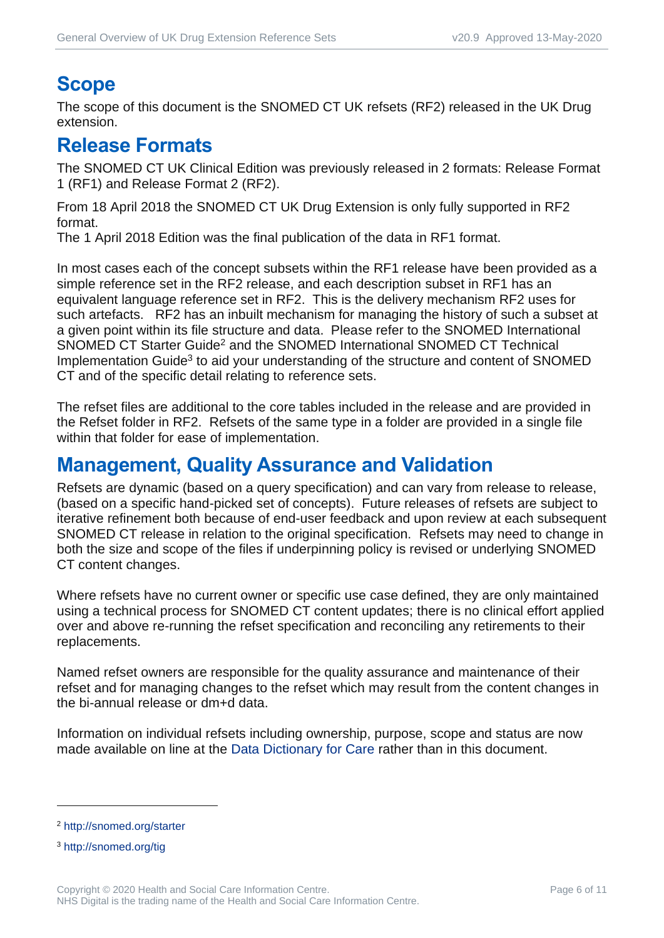# <span id="page-5-0"></span>**Scope**

The scope of this document is the SNOMED CT UK refsets (RF2) released in the UK Drug extension.

#### <span id="page-5-1"></span>**Release Formats**

The SNOMED CT UK Clinical Edition was previously released in 2 formats: Release Format 1 (RF1) and Release Format 2 (RF2).

From 18 April 2018 the SNOMED CT UK Drug Extension is only fully supported in RF2 format.

The 1 April 2018 Edition was the final publication of the data in RF1 format.

In most cases each of the concept subsets within the RF1 release have been provided as a simple reference set in the RF2 release, and each description subset in RF1 has an equivalent language reference set in RF2. This is the delivery mechanism RF2 uses for such artefacts. RF2 has an inbuilt mechanism for managing the history of such a subset at a given point within its file structure and data. Please refer to the SNOMED International SNOMED CT Starter Guide<sup>2</sup> and the SNOMED International SNOMED CT Technical Implementation Guide<sup>3</sup> to aid your understanding of the structure and content of SNOMED CT and of the specific detail relating to reference sets.

The refset files are additional to the core tables included in the release and are provided in the Refset folder in RF2. Refsets of the same type in a folder are provided in a single file within that folder for ease of implementation.

#### <span id="page-5-2"></span>**Management, Quality Assurance and Validation**

Refsets are dynamic (based on a query specification) and can vary from release to release, (based on a specific hand-picked set of concepts). Future releases of refsets are subject to iterative refinement both because of end-user feedback and upon review at each subsequent SNOMED CT release in relation to the original specification. Refsets may need to change in both the size and scope of the files if underpinning policy is revised or underlying SNOMED CT content changes.

Where refsets have no current owner or specific use case defined, they are only maintained using a technical process for SNOMED CT content updates; there is no clinical effort applied over and above re-running the refset specification and reconciling any retirements to their replacements.

Named refset owners are responsible for the quality assurance and maintenance of their refset and for managing changes to the refset which may result from the content changes in the bi-annual release or dm+d data.

Information on individual refsets including ownership, purpose, scope and status are now made available on line at the [Data Dictionary for Care](https://dd4c.digital.nhs.uk/dd4c/) rather than in this document.

<sup>2</sup> <http://snomed.org/starter>

<sup>3</sup> <http://snomed.org/tig>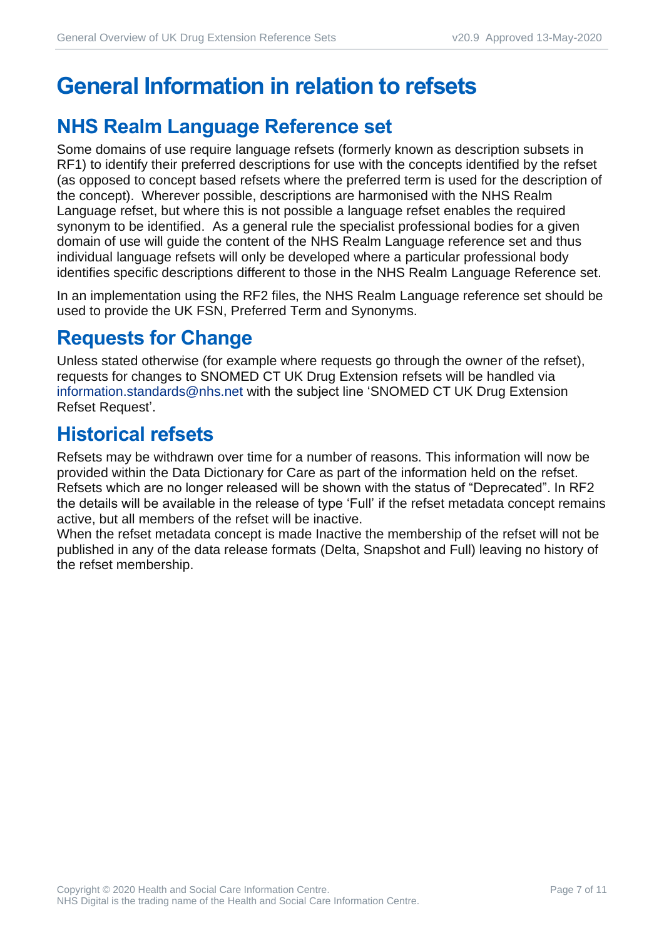# <span id="page-6-0"></span>**General Information in relation to refsets**

## <span id="page-6-1"></span>**NHS Realm Language Reference set**

Some domains of use require language refsets (formerly known as description subsets in RF1) to identify their preferred descriptions for use with the concepts identified by the refset (as opposed to concept based refsets where the preferred term is used for the description of the concept). Wherever possible, descriptions are harmonised with the NHS Realm Language refset, but where this is not possible a language refset enables the required synonym to be identified. As a general rule the specialist professional bodies for a given domain of use will guide the content of the NHS Realm Language reference set and thus individual language refsets will only be developed where a particular professional body identifies specific descriptions different to those in the NHS Realm Language Reference set.

In an implementation using the RF2 files, the NHS Realm Language reference set should be used to provide the UK FSN, Preferred Term and Synonyms.

#### <span id="page-6-2"></span>**Requests for Change**

Unless stated otherwise (for example where requests go through the owner of the refset), requests for changes to SNOMED CT UK Drug Extension refsets will be handled via [information.standards@nhs.net](mailto:information.standards@nhs.net) with the subject line 'SNOMED CT UK Drug Extension Refset Request'.

#### <span id="page-6-3"></span>**Historical refsets**

Refsets may be withdrawn over time for a number of reasons. This information will now be provided within the Data Dictionary for Care as part of the information held on the refset. Refsets which are no longer released will be shown with the status of "Deprecated". In RF2 the details will be available in the release of type 'Full' if the refset metadata concept remains active, but all members of the refset will be inactive.

When the refset metadata concept is made Inactive the membership of the refset will not be published in any of the data release formats (Delta, Snapshot and Full) leaving no history of the refset membership.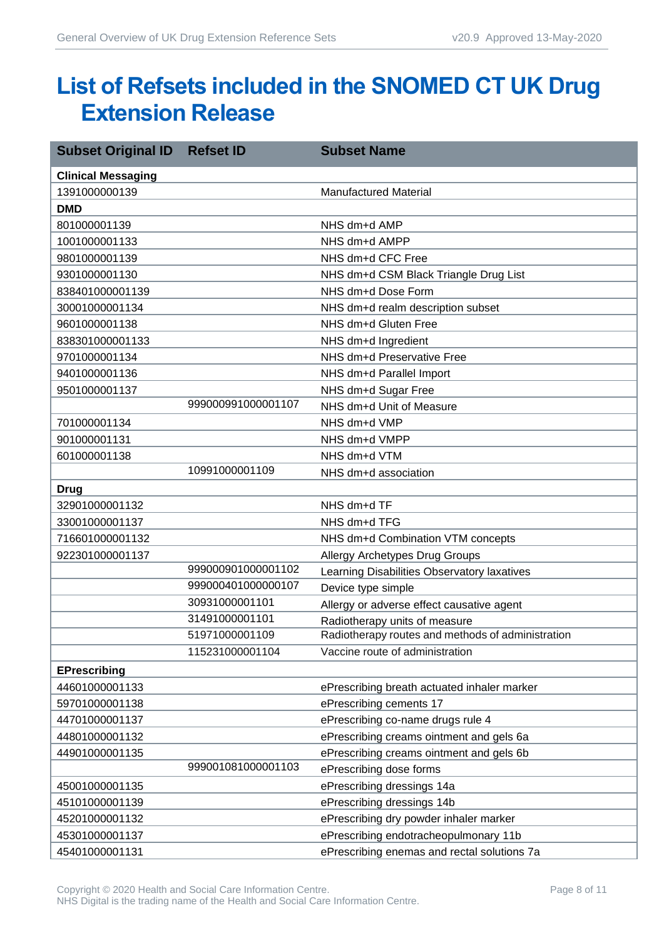# <span id="page-7-0"></span>**List of Refsets included in the SNOMED CT UK Drug Extension Release**

| <b>Subset Original ID</b> | <b>Refset ID</b>   | <b>Subset Name</b>                                |
|---------------------------|--------------------|---------------------------------------------------|
| <b>Clinical Messaging</b> |                    |                                                   |
| 1391000000139             |                    | <b>Manufactured Material</b>                      |
| <b>DMD</b>                |                    |                                                   |
| 801000001139              |                    | NHS dm+d AMP                                      |
| 1001000001133             |                    | NHS dm+d AMPP                                     |
| 9801000001139             |                    | NHS dm+d CFC Free                                 |
| 9301000001130             |                    | NHS dm+d CSM Black Triangle Drug List             |
| 838401000001139           |                    | NHS dm+d Dose Form                                |
| 30001000001134            |                    | NHS dm+d realm description subset                 |
| 9601000001138             |                    | NHS dm+d Gluten Free                              |
| 838301000001133           |                    | NHS dm+d Ingredient                               |
| 9701000001134             |                    | NHS dm+d Preservative Free                        |
| 9401000001136             |                    | NHS dm+d Parallel Import                          |
| 9501000001137             |                    | NHS dm+d Sugar Free                               |
|                           | 999000991000001107 | NHS dm+d Unit of Measure                          |
| 701000001134              |                    | NHS dm+d VMP                                      |
| 901000001131              |                    | NHS dm+d VMPP                                     |
| 601000001138              |                    | NHS dm+d VTM                                      |
|                           | 10991000001109     | NHS dm+d association                              |
| <b>Drug</b>               |                    |                                                   |
| 32901000001132            |                    | NHS dm+d TF                                       |
| 33001000001137            |                    | NHS dm+d TFG                                      |
| 716601000001132           |                    | NHS dm+d Combination VTM concepts                 |
| 922301000001137           |                    | <b>Allergy Archetypes Drug Groups</b>             |
|                           | 999000901000001102 | Learning Disabilities Observatory laxatives       |
|                           | 999000401000000107 | Device type simple                                |
|                           | 30931000001101     | Allergy or adverse effect causative agent         |
|                           | 31491000001101     | Radiotherapy units of measure                     |
|                           | 51971000001109     | Radiotherapy routes and methods of administration |
|                           | 115231000001104    | Vaccine route of administration                   |
| <b>EPrescribing</b>       |                    |                                                   |
| 44601000001133            |                    | ePrescribing breath actuated inhaler marker       |
| 59701000001138            |                    | ePrescribing cements 17                           |
| 44701000001137            |                    | ePrescribing co-name drugs rule 4                 |
| 44801000001132            |                    | ePrescribing creams ointment and gels 6a          |
| 44901000001135            |                    | ePrescribing creams ointment and gels 6b          |
|                           | 999001081000001103 | ePrescribing dose forms                           |
| 45001000001135            |                    | ePrescribing dressings 14a                        |
| 45101000001139            |                    | ePrescribing dressings 14b                        |
| 45201000001132            |                    | ePrescribing dry powder inhaler marker            |
| 45301000001137            |                    | ePrescribing endotracheopulmonary 11b             |
| 45401000001131            |                    | ePrescribing enemas and rectal solutions 7a       |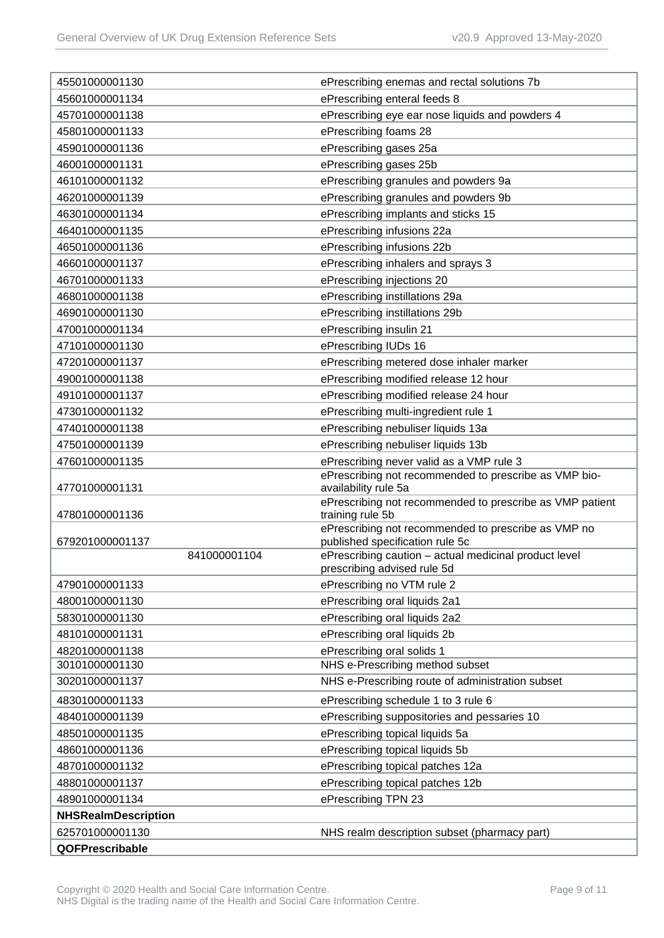| 45501000001130                  | ePrescribing enemas and rectal solutions 7b                                              |
|---------------------------------|------------------------------------------------------------------------------------------|
| 45601000001134                  | ePrescribing enteral feeds 8                                                             |
| 45701000001138                  | ePrescribing eye ear nose liquids and powders 4                                          |
| 45801000001133                  | ePrescribing foams 28                                                                    |
| 45901000001136                  | ePrescribing gases 25a                                                                   |
| 46001000001131                  | ePrescribing gases 25b                                                                   |
| 46101000001132                  | ePrescribing granules and powders 9a                                                     |
| 46201000001139                  | ePrescribing granules and powders 9b                                                     |
| 46301000001134                  | ePrescribing implants and sticks 15                                                      |
| 46401000001135                  | ePrescribing infusions 22a                                                               |
| 46501000001136                  | ePrescribing infusions 22b                                                               |
| 46601000001137                  | ePrescribing inhalers and sprays 3                                                       |
| 46701000001133                  | ePrescribing injections 20                                                               |
| 46801000001138                  | ePrescribing instillations 29a                                                           |
| 46901000001130                  | ePrescribing instillations 29b                                                           |
| 47001000001134                  | ePrescribing insulin 21                                                                  |
| 47101000001130                  | ePrescribing IUDs 16                                                                     |
| 47201000001137                  | ePrescribing metered dose inhaler marker                                                 |
| 49001000001138                  | ePrescribing modified release 12 hour                                                    |
| 49101000001137                  | ePrescribing modified release 24 hour                                                    |
| 47301000001132                  | ePrescribing multi-ingredient rule 1                                                     |
| 47401000001138                  | ePrescribing nebuliser liquids 13a                                                       |
| 47501000001139                  | ePrescribing nebuliser liquids 13b                                                       |
| 47601000001135                  | ePrescribing never valid as a VMP rule 3                                                 |
| 47701000001131                  | ePrescribing not recommended to prescribe as VMP bio-<br>availability rule 5a            |
| 47801000001136                  | ePrescribing not recommended to prescribe as VMP patient<br>training rule 5b             |
|                                 | ePrescribing not recommended to prescribe as VMP no                                      |
| 679201000001137<br>841000001104 | published specification rule 5c<br>ePrescribing caution - actual medicinal product level |
|                                 | prescribing advised rule 5d                                                              |
| 47901000001133                  | ePrescribing no VTM rule 2                                                               |
| 48001000001130                  | ePrescribing oral liquids 2a1                                                            |
| 58301000001130                  | ePrescribing oral liquids 2a2                                                            |
| 48101000001131                  | ePrescribing oral liquids 2b                                                             |
| 48201000001138                  | ePrescribing oral solids 1                                                               |
| 30101000001130                  | NHS e-Prescribing method subset                                                          |
| 30201000001137                  | NHS e-Prescribing route of administration subset                                         |
| 48301000001133                  | ePrescribing schedule 1 to 3 rule 6                                                      |
| 48401000001139                  | ePrescribing suppositories and pessaries 10                                              |
| 48501000001135                  | ePrescribing topical liquids 5a                                                          |
| 48601000001136                  | ePrescribing topical liquids 5b                                                          |
| 48701000001132                  | ePrescribing topical patches 12a                                                         |
| 48801000001137                  | ePrescribing topical patches 12b                                                         |
| 48901000001134                  | ePrescribing TPN 23                                                                      |
| <b>NHSRealmDescription</b>      |                                                                                          |
| 625701000001130                 | NHS realm description subset (pharmacy part)                                             |
| QOFPrescribable                 |                                                                                          |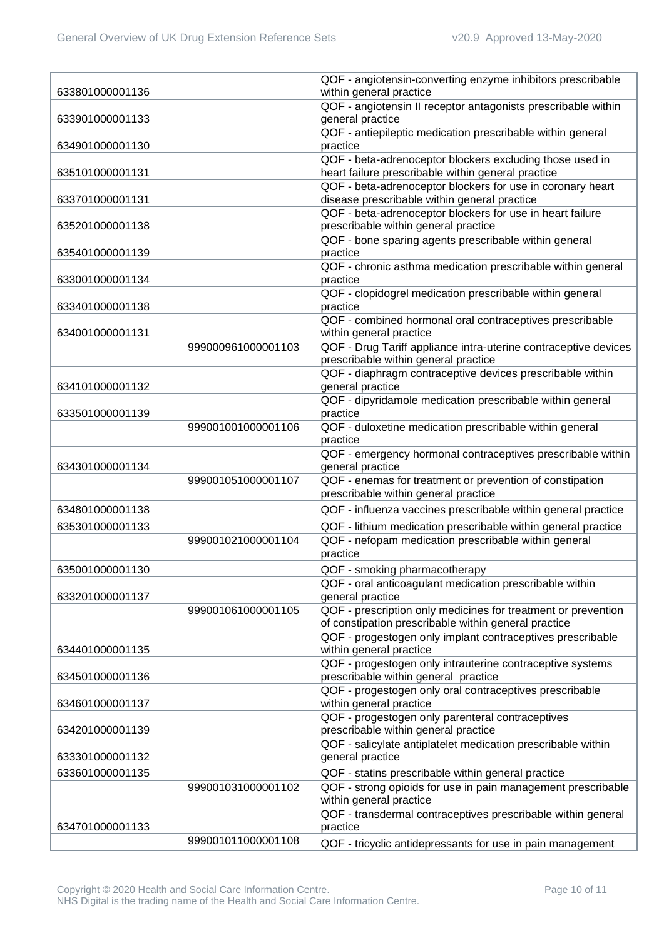| 633801000001136 |                    | QOF - angiotensin-converting enzyme inhibitors prescribable<br>within general practice                             |
|-----------------|--------------------|--------------------------------------------------------------------------------------------------------------------|
|                 |                    | QOF - angiotensin II receptor antagonists prescribable within                                                      |
| 633901000001133 |                    | general practice                                                                                                   |
|                 |                    | QOF - antiepileptic medication prescribable within general                                                         |
| 634901000001130 |                    | practice                                                                                                           |
|                 |                    | QOF - beta-adrenoceptor blockers excluding those used in                                                           |
| 635101000001131 |                    | heart failure prescribable within general practice                                                                 |
|                 |                    | QOF - beta-adrenoceptor blockers for use in coronary heart                                                         |
| 633701000001131 |                    | disease prescribable within general practice                                                                       |
|                 |                    | QOF - beta-adrenoceptor blockers for use in heart failure                                                          |
| 635201000001138 |                    | prescribable within general practice                                                                               |
|                 |                    | QOF - bone sparing agents prescribable within general                                                              |
| 635401000001139 |                    | practice                                                                                                           |
|                 |                    | QOF - chronic asthma medication prescribable within general                                                        |
| 633001000001134 |                    | practice<br>QOF - clopidogrel medication prescribable within general                                               |
| 633401000001138 |                    | practice                                                                                                           |
|                 |                    | QOF - combined hormonal oral contraceptives prescribable                                                           |
| 634001000001131 |                    | within general practice                                                                                            |
|                 | 999000961000001103 | QOF - Drug Tariff appliance intra-uterine contraceptive devices                                                    |
|                 |                    | prescribable within general practice                                                                               |
|                 |                    | QOF - diaphragm contraceptive devices prescribable within                                                          |
| 634101000001132 |                    | general practice                                                                                                   |
|                 |                    | QOF - dipyridamole medication prescribable within general                                                          |
| 633501000001139 |                    | practice                                                                                                           |
|                 | 999001001000001106 | QOF - duloxetine medication prescribable within general                                                            |
|                 |                    | practice                                                                                                           |
|                 |                    | QOF - emergency hormonal contraceptives prescribable within                                                        |
| 634301000001134 |                    | general practice                                                                                                   |
|                 | 999001051000001107 | QOF - enemas for treatment or prevention of constipation                                                           |
|                 |                    | prescribable within general practice                                                                               |
| 634801000001138 |                    | QOF - influenza vaccines prescribable within general practice                                                      |
| 635301000001133 |                    | QOF - lithium medication prescribable within general practice                                                      |
|                 | 999001021000001104 | QOF - nefopam medication prescribable within general                                                               |
|                 |                    | practice                                                                                                           |
| 635001000001130 |                    | QOF - smoking pharmacotherapy                                                                                      |
|                 |                    | QOF - oral anticoagulant medication prescribable within                                                            |
| 633201000001137 |                    | general practice                                                                                                   |
|                 | 999001061000001105 | QOF - prescription only medicines for treatment or prevention                                                      |
|                 |                    | of constipation prescribable within general practice                                                               |
|                 |                    | QOF - progestogen only implant contraceptives prescribable                                                         |
| 634401000001135 |                    | within general practice                                                                                            |
|                 |                    | QOF - progestogen only intrauterine contraceptive systems                                                          |
| 634501000001136 |                    | prescribable within general practice                                                                               |
|                 |                    | QOF - progestogen only oral contraceptives prescribable                                                            |
| 634601000001137 |                    | within general practice                                                                                            |
|                 |                    | QOF - progestogen only parenteral contraceptives                                                                   |
| 634201000001139 |                    | prescribable within general practice<br>QOF - salicylate antiplatelet medication prescribable within               |
| 633301000001132 |                    | general practice                                                                                                   |
| 633601000001135 |                    |                                                                                                                    |
|                 | 999001031000001102 | QOF - statins prescribable within general practice<br>QOF - strong opioids for use in pain management prescribable |
|                 |                    | within general practice                                                                                            |
|                 |                    | QOF - transdermal contraceptives prescribable within general                                                       |
| 634701000001133 |                    | practice                                                                                                           |
|                 | 999001011000001108 | QOF - tricyclic antidepressants for use in pain management                                                         |
|                 |                    |                                                                                                                    |